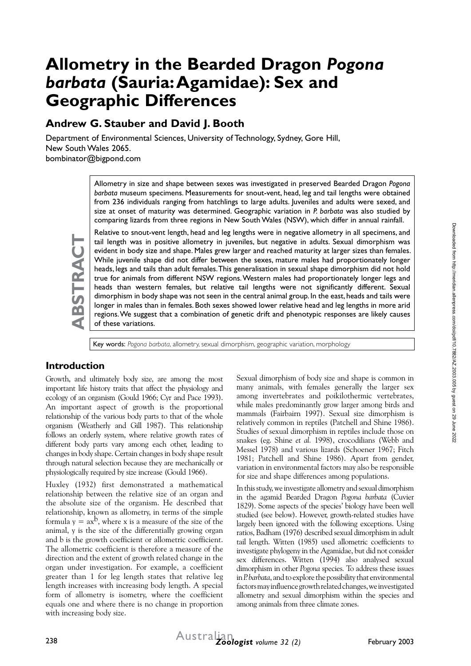# **Allometry in the Bearded Dragon** *Pogona barbata* **(Sauria: Agamidae): Sex and Geographic Differences**

# **Andrew G. Stauber and David J. Booth**

Department of Environmental Sciences, University of Technology, Sydney, Gore Hill, New South Wales 2065. bombinator@bigpond.com

> Allometry in size and shape between sexes was investigated in preserved Bearded Dragon *Pogona barbata* museum specimens. Measurements for snout-vent, head, leg and tail lengths were obtained from 236 individuals ranging from hatchlings to large adults. Juveniles and adults were sexed, and size at onset of maturity was determined. Geographic variation in *P. barbata* was also studied by comparing lizards from three regions in New South Wales (NSW), which differ in annual rainfall.

Relative to snout-vent length, head and leg lengths were in negative allometry in all specimens, and tail length was in positive allometry in juveniles, but negative in adults. Sexual dimorphism was evident in body size and shape. Males grew larger and reached maturity at larger sizes than females. While juvenile shape did not differ between the sexes, mature males had proportionately longer heads, legs and tails than adult females. This generalisation in sexual shape dimorphism did not hold true for animals from different NSW regions. Western males had proportionately longer legs and heads than western females, but relative tail lengths were not significantly different. Sexual dimorphism in body shape was not seen in the central animal group. In the east, heads and tails were longer in males than in females. Both sexes showed lower relative head and leg lengths in more arid regions. We suggest that a combination of genetic drift and phenotypic responses are likely causes of these variations.

Key words: *Pogona barbata*, allometry, sexual dimorphism, geographic variation, morphology

## **Introduction**

Growth, and ultimately body size, are among the most important life history traits that affect the physiology and ecology of an organism (Gould 1966; Cyr and Pace 1993). An important aspect of growth is the proportional relationship of the various body parts to that of the whole organism (Weatherly and Gill 1987). This relationship follows an orderly system, where relative growth rates of different body parts vary among each other, leading to changes in body shape. Certain changes in body shape result through natural selection because they are mechanically or physiologically required by size increase (Gould 1966).

Huxley (1932) first demonstrated a mathematical relationship between the relative size of an organ and the absolute size of the organism. He described that relationship, known as allometry, in terms of the simple formula  $y = ax^b$ , where x is a measure of the size of the animal, y is the size of the differentially growing organ and b is the growth coefficient or allometric coefficient. The allometric coefficient is therefore a measure of the direction and the extent of growth related change in the organ under investigation. For example, a coefficient greater than 1 for leg length states that relative leg length increases with increasing body length. A special form of allometry is isometry, where the coefficient equals one and where there is no change in proportion with increasing body size.

Sexual dimorphism of body size and shape is common in many animals, with females generally the larger sex among invertebrates and poikilothermic vertebrates, while males predominantly grow larger among birds and mammals (Fairbairn 1997). Sexual size dimorphism is relatively common in reptiles (Patchell and Shine 1986). Studies of sexual dimorphism in reptiles include those on snakes (eg. Shine *et al.* 1998), crocodilians (Webb and Messel 1978) and various lizards (Schoener 1967; Fitch 1981; Patchell and Shine 1986). Apart from gender, variation in environmental factors may also be responsible for size and shape differences among populations.

In this study, we investigate allometry and sexual dimorphism in the agamid Bearded Dragon *Pogona barbata* (Cuvier 1829). Some aspects of the species' biology have been well studied (see below). However, growth-related studies have largely been ignored with the following exceptions. Using ratios, Badham (1976) described sexual dimorphism in adult tail length. Witten (1985) used allometric coefficients to investigate phylogeny in the Agamidae, but did not consider sex differences. Witten (1994) also analysed sexual dimorphism in other *Pogona* species*.* To address these issues in *P. barbata*, and to explore the possibility that environmental factors may influence growth related changes, we investigated allometry and sexual dimorphism within the species and among animals from three climate zones.

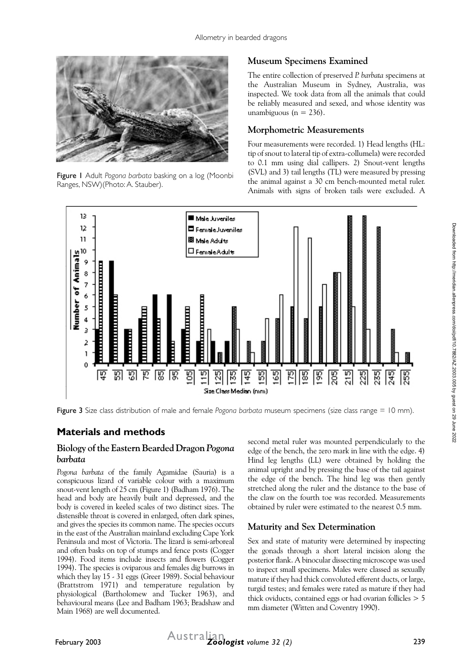

Figure 1 Adult *Pogona barbata* basking on a log (Moonbi Ranges, NSW)(Photo: A. Stauber).

## **Museum Specimens Examined**

The entire collection of preserved *P. barbata* specimens at the Australian Museum in Sydney, Australia, was inspected. We took data from all the animals that could be reliably measured and sexed, and whose identity was unambiguous ( $n = 236$ ).

#### **Morphometric Measurements**

Four measurements were recorded. 1) Head lengths (HL: tip of snout to lateral tip of extra-collumela) were recorded to 0.1 mm using dial callipers. 2) Snout-vent lengths (SVL) and 3) tail lengths (TL) were measured by pressing the animal against a 30 cm bench-mounted metal ruler. Animals with signs of broken tails were excluded. A



Figure 3 Size class distribution of male and female *Pogona barbata* museum specimens (size class range = 10 mm).

## **Materials and methods**

#### **Biology of the Eastern Bearded Dragon** *Pogona barbata*

*Pogona barbata* of the family Agamidae (Sauria) is a conspicuous lizard of variable colour with a maximum snout-vent length of 25 cm (Figure 1) (Badham 1976). The head and body are heavily built and depressed, and the body is covered in keeled scales of two distinct sizes. The distensible throat is covered in enlarged, often dark spines, and gives the species its common name. The species occurs in the east of the Australian mainland excluding Cape York Peninsula and most of Victoria. The lizard is semi-arboreal and often basks on top of stumps and fence posts (Cogger 1994). Food items include insects and flowers (Cogger 1994). The species is oviparous and females dig burrows in which they lay 15 - 31 eggs (Greer 1989). Social behaviour (Brattstrom 1971) and temperature regulation by physiological (Bartholomew and Tucker 1963), and behavioural means (Lee and Badham 1963; Bradshaw and Main 1968) are well documented.

second metal ruler was mounted perpendicularly to the edge of the bench, the zero mark in line with the edge. 4) Hind leg lengths (LL) were obtained by holding the animal upright and by pressing the base of the tail against the edge of the bench. The hind leg was then gently stretched along the ruler and the distance to the base of the claw on the fourth toe was recorded. Measurements obtained by ruler were estimated to the nearest 0.5 mm.

#### **Maturity and Sex Determination**

Sex and state of maturity were determined by inspecting the gonads through a short lateral incision along the posterior flank. A binocular dissecting microscope was used to inspect small specimens. Males were classed as sexually mature if they had thick convoluted efferent ducts, or large, turgid testes; and females were rated as mature if they had thick oviducts, contained eggs or had ovarian follicles > 5 mm diameter (Witten and Coventry 1990).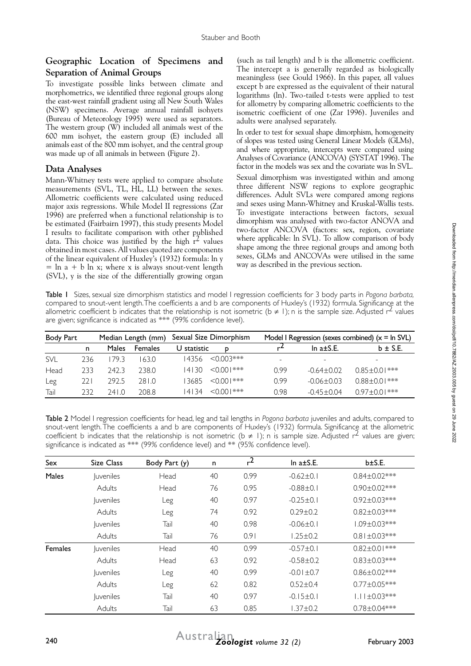#### **Geographic Location of Specimens and Separation of Animal Groups**

To investigate possible links between climate and morphometrics, we identified three regional groups along the east-west rainfall gradient using all New South Wales (NSW) specimens. Average annual rainfall isohyets (Bureau of Meteorology 1995) were used as separators. The western group (W) included all animals west of the 600 mm isohyet, the eastern group (E) included all animals east of the 800 mm isohyet, and the central group was made up of all animals in between (Figure 2).

#### **Data Analyses**

Mann-Whitney tests were applied to compare absolute measurements (SVL, TL, HL, LL) between the sexes. Allometric coefficients were calculated using reduced major axis regressions. While Model II regressions (Zar 1996) are preferred when a functional relationship is to be estimated (Fairbairn 1997), this study presents Model I results to facilitate comparison with other published data. This choice was justified by the high  $r^2$  values obtained in most cases. All values quoted are components of the linear equivalent of Huxley's (1932) formula: ln y  $=$  ln a + b ln x; where x is always snout-vent length (SVL), y is the size of the differentially growing organ

(such as tail length) and b is the allometric coefficient. The intercept a is generally regarded as biologically meaningless (see Gould 1966). In this paper, all values except b are expressed as the equivalent of their natural logarithms (ln). Two-tailed t-tests were applied to test for allometry by comparing allometric coefficients to the isometric coefficient of one (Zar 1996). Juveniles and adults were analysed separately.

In order to test for sexual shape dimorphism, homogeneity of slopes was tested using General Linear Models (GLMs), and where appropriate, intercepts were compared using Analyses of Covariance (ANCOVA) (SYSTAT 1996). The factor in the models was sex and the covariate was ln SVL.

Sexual dimorphism was investigated within and among three different NSW regions to explore geographic differences. Adult SVLs were compared among regions and sexes using Mann-Whitney and Kruskal-Wallis tests. To investigate interactions between factors, sexual dimorphism was analysed with two-factor ANOVA and two-factor ANCOVA (factors: sex, region, covariate where applicable: ln SVL). To allow comparison of body shape among the three regional groups and among both sexes, GLMs and ANCOVAs were utilised in the same way as described in the previous section.

Table 1 Sizes, sexual size dimorphism statistics and model I regression coefficients for 3 body parts in *Pogona barbata,* compared to snout-vent length. The coefficients a and b are components of Huxley's (1932) formula. Significance at the allometric coefficient b indicates that the relationship is not isometric ( $b \ne 1$ ); n is the sample size. Adjusted  $r^2$  values are given; significance is indicated as \*\*\* (99% confidence level).

| Body Part  |      |        | Median Length (mm) |             | Sexual Size Dimorphism                                                                                                                                                                                                                                            | Model I Regression (sexes combined) $(x = \ln SVL)$ |                          |                     |  |
|------------|------|--------|--------------------|-------------|-------------------------------------------------------------------------------------------------------------------------------------------------------------------------------------------------------------------------------------------------------------------|-----------------------------------------------------|--------------------------|---------------------|--|
|            | n    | Males  | <b>Females</b>     | U statistic | D                                                                                                                                                                                                                                                                 | r                                                   | In $a \pm S.E$ .         | $b \pm S.E.$        |  |
| <b>SVL</b> | 236  | 793    | 63.0               | 14356       | $<$ 0.003***                                                                                                                                                                                                                                                      | -                                                   | $\overline{\phantom{a}}$ |                     |  |
| Head       | 233  | 242.3  | 238.0              | 14130       | $\leq 0.001$ ***                                                                                                                                                                                                                                                  | 0.99                                                | $-0.64 + 0.02$           | $0.85 \pm 0.01$ *** |  |
| Leg        | 22 I | 292.5  | 28 I.O             | 3685        | $\leq 0.001$ ***                                                                                                                                                                                                                                                  | 0.99                                                | $-0.06 + 0.03$           | $0.88 \pm 0.01$ *** |  |
| Tail       | 232  | 24 I.O | 208.8              | 4 34        | $\leq$ 00 $\leq$ $\leq$ 00 $\leq$ $\leq$ $\leq$ $\leq$ $\leq$ $\leq$ $\leq$ $\leq$ $\leq$ $\leq$ $\leq$ $\leq$ $\leq$ $\leq$ $\leq$ $\leq$ $\leq$ $\leq$ $\leq$ $\leq$ $\leq$ $\leq$ $\leq$ $\leq$ $\leq$ $\leq$ $\leq$ $\leq$ $\leq$ $\leq$ $\leq$ $\leq$ $\leq$ | 0.98                                                | $-0.45 + 0.04$           | $0.97 \pm 0.01$ *** |  |

Table 2 Model I regression coefficients for head, leg and tail lengths in *Pogona barbata* juveniles and adults, compared to snout-vent length. The coefficients a and b are components of Huxley's (1932) formula. Significance at the allometric coefficient b indicates that the relationship is not isometric (b  $\neq$  1); n is sample size. Adjusted r<sup>2</sup> values are given; significance is indicated as \*\*\* (99% confidence level) and \*\* (95% confidence level).

| Sex     | Size Class                     | Body Part (y) | n  | r <sup>2</sup> | In $a \pm S.E$ . | b±S.E.             |
|---------|--------------------------------|---------------|----|----------------|------------------|--------------------|
| Males   | <i><u><b>Juveniles</b></u></i> | Head          | 40 | 0.99           | $-0.62 + 0.1$    | $0.84 \pm 0.02***$ |
|         | Adults                         | Head          | 76 | 0.95           | $-0.88 + 0.1$    | $0.90 \pm 0.02***$ |
|         | <i><u><b>Juveniles</b></u></i> | Leg           | 40 | 0.97           | $-0.25 \pm 0.1$  | $0.92 \pm 0.03***$ |
|         | Adults                         | Leg           | 74 | 0.92           | $0.29 + 0.2$     | $0.82 \pm 0.03***$ |
|         | <i>luveniles</i>               | Tail          | 40 | 0.98           | $-0.06 + 0.1$    | $1.09 \pm 0.03***$ |
|         | Adults                         | Tail          | 76 | 0.91           | $1.25 \pm 0.2$   | $0.81 \pm 0.03***$ |
| Females | <i><u><b>luveniles</b></u></i> | Head          | 40 | 0.99           | $-0.57 \pm 0.1$  | $0.82 \pm 0.01***$ |
|         | Adults                         | Head          | 63 | 0.92           | $-0.58 + 0.2$    | $0.83 \pm 0.03***$ |
|         | <i>luveniles</i>               | Leg           | 40 | 0.99           | $-0.01 + 0.7$    | $0.86 \pm 0.02***$ |
|         | Adults                         | Leg           | 62 | 0.82           | $0.52 + 0.4$     | $0.77 \pm 0.05***$ |
|         | <i>luveniles</i>               | Tail          | 40 | 0.97           | $-0.15 \pm 0.1$  | $1.11 \pm 0.03***$ |
|         | Adults                         | Tail          | 63 | 0.85           | $1.37 \pm 0.2$   | $0.78 \pm 0.04***$ |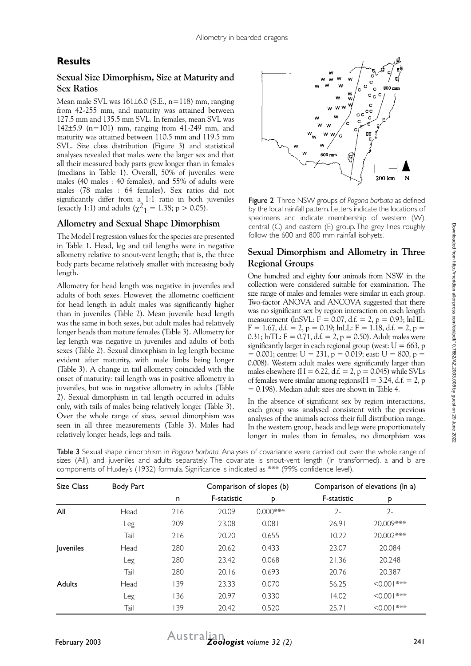# **Results**

## **Sexual Size Dimorphism, Size at Maturity and Sex Ratios**

Mean male SVL was  $161\pm6.0$  (S.E.,  $n=118$ ) mm, ranging from 42-255 mm, and maturity was attained between 127.5 mm and 135.5 mm SVL. In females, mean SVL was 142±5.9 (n=101) mm, ranging from 41-249 mm, and maturity was attained between 110.5 mm and 119.5 mm SVL. Size class distribution (Figure 3) and statistical analyses revealed that males were the larger sex and that all their measured body parts grew longer than in females (medians in Table 1). Overall, 50% of juveniles were males (40 males : 40 females), and 55% of adults were males (78 males : 64 females). Sex ratios did not significantly differ from a 1:1 ratio in both juveniles (exactly 1:1) and adults ( $\chi^2$ <sub>1</sub> = 1.38; p > 0.05).

#### **Allometry and Sexual Shape Dimorphism**

The Model I regression values for the species are presented in Table 1. Head, leg and tail lengths were in negative allometry relative to snout-vent length; that is, the three body parts became relatively smaller with increasing body length.

Allometry for head length was negative in juveniles and adults of both sexes. However, the allometric coefficient for head length in adult males was significantly higher than in juveniles (Table 2). Mean juvenile head length was the same in both sexes, but adult males had relatively longer heads than mature females (Table 3). Allometry for leg length was negative in juveniles and adults of both sexes (Table 2). Sexual dimorphism in leg length became evident after maturity, with male limbs being longer (Table 3). A change in tail allometry coincided with the onset of maturity: tail length was in positive allometry in juveniles, but was in negative allometry in adults (Table 2). Sexual dimorphism in tail length occurred in adults only, with tails of males being relatively longer (Table 3). Over the whole range of sizes, sexual dimorphism was seen in all three measurements (Table 3). Males had relatively longer heads, legs and tails.



Figure 2 Three NSW groups of *Pogona barbata* as defined by the local rainfall pattern. Letters indicate the locations of specimens and indicate membership of western (W), central (C) and eastern (E) group. The grey lines roughly follow the 600 and 800 mm rainfall isohyets.

## **Sexual Dimorphism and Allometry in Three Regional Groups**

One hundred and eighty four animals from NSW in the collection were considered suitable for examination. The size range of males and females were similar in each group. Two-factor ANOVA and ANCOVA suggested that there was no significant sex by region interaction on each length measurement (lnSVL:  $F = 0.07$ , d.f. = 2, p = 0.93; lnHL:  $F = 1.67$ , d.f. = 2, p = 0.19; lnLL:  $F = 1.18$ , d.f. = 2, p = 0.31;  $lnTL: F = 0.71$ ,  $d.f. = 2$ ,  $p = 0.50$ ). Adult males were significantly larger in each regional group (west:  $U = 663$ , p  $= 0.001$ ; centre: U = 231, p = 0.019; east: U = 800, p = 0.008). Western adult males were significantly larger than males elsewhere  $(H = 6.22, d.f. = 2, p = 0.045)$  while SVLs of females were similar among regions  $(H = 3.24, d.f. = 2, p$ = 0.198). Median adult sizes are shown in Table 4.

In the absence of significant sex by region interactions, each group was analysed consistent with the previous analyses of the animals across their full distribution range. In the western group, heads and legs were proportionately longer in males than in females, no dimorphism was

Table 3 Sexual shape dimorphism in *Pogona barbata.* Analyses of covariance were carried out over the whole range of sizes (All), and juveniles and adults separately. The covariate is snout-vent length (In transformed). a and b are components of Huxley's (1932) formula. Significance is indicated as \*\*\* (99% confidence level).

| Size Class    | Body Part |     | Comparison of slopes (b) |             |             | Comparison of elevations (ln a) |  |  |
|---------------|-----------|-----|--------------------------|-------------|-------------|---------------------------------|--|--|
|               |           | n   | F-statistic              | P           | F-statistic | P                               |  |  |
| All           | Head      | 216 | 20.09                    | $0.000$ *** | $2 -$       | $2 -$                           |  |  |
|               | Leg       | 209 | 23.08                    | 0.081       | 26.91       | 20.009***                       |  |  |
|               | Tail      | 216 | 20.20                    | 0.655       | 10.22       | 20.002***                       |  |  |
| Juveniles     | Head      | 280 | 20.62                    | 0.433       | 23.07       | 20.084                          |  |  |
|               | Leg       | 280 | 23.42                    | 0.068       | 21.36       | 20.248                          |  |  |
|               | Tail      | 280 | 20.16                    | 0.693       | 20.76       | 20.387                          |  |  |
| <b>Adults</b> | Head      | 139 | 23.33                    | 0.070       | 56.25       | $<0.001***$                     |  |  |
|               | Leg       | 136 | 20.97                    | 0.330       | 14.02       | $<0.00$   ***                   |  |  |
|               | Tail      | 139 | 20.42                    | 0.520       | 25.71       | $<0.00$   ***                   |  |  |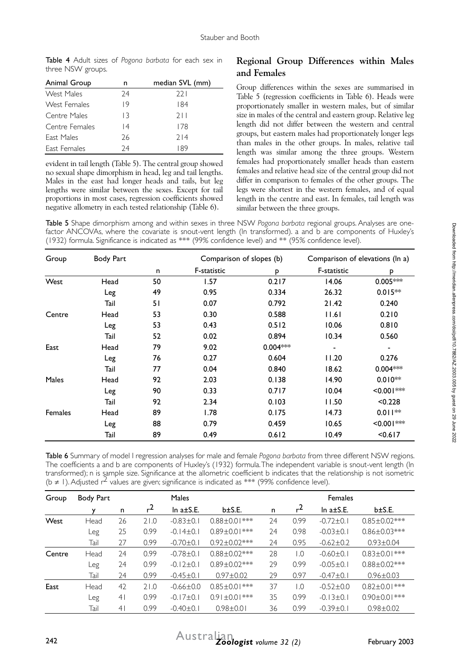Table 4 Adult sizes of *Pogona barbata* for each sex in three NSW groups.

| Animal Group   | n               | median SVL (mm) |
|----------------|-----------------|-----------------|
| West Males     | 74              | 221             |
| West Females   | 19              | 184             |
| Centre Males   | 13              | 211             |
| Centre Females | $\overline{14}$ | 178             |
| East Males     | 26              | 714             |
| East Females   | 74              | 89              |

evident in tail length (Table 5). The central group showed no sexual shape dimorphism in head, leg and tail lengths. Males in the east had longer heads and tails, but leg lengths were similar between the sexes. Except for tail proportions in most cases, regression coefficients showed negative allometry in each tested relationship (Table 6).

#### **Regional Group Differences within Males and Females**

Group differences within the sexes are summarised in Table 5 (regression coefficients in Table 6). Heads were proportionately smaller in western males, but of similar size in males of the central and eastern group. Relative leg length did not differ between the western and central groups, but eastern males had proportionately longer legs than males in the other groups. In males, relative tail length was similar among the three groups. Western females had proportionately smaller heads than eastern females and relative head size of the central group did not differ in comparison to females of the other groups. The legs were shortest in the western females, and of equal length in the centre and east. In females, tail length was similar between the three groups.

Table 5 Shape dimorphism among and within sexes in three NSW *Pogona barbata* regional groups. Analyses are onefactor ANCOVAs, where the covariate is snout-vent length (ln transformed). a and b are components of Huxley's (1932) formula. Significance is indicated as \*\*\* (99% confidence level) and \*\* (95% confidence level).

| Group          | <b>Body Part</b> |    | Comparison of slopes (b) |            | Comparison of elevations (ln a) |                  |
|----------------|------------------|----|--------------------------|------------|---------------------------------|------------------|
|                |                  | n  | F-statistic              | p          | F-statistic                     | P                |
| West           | Head             | 50 | 1.57                     | 0.217      | 14.06                           | $0.005***$       |
|                | Leg              | 49 | 0.95                     | 0.334      | 26.32                           | $0.015**$        |
|                | Tail             | 51 | 0.07                     | 0.792      | 21.42                           | 0.240            |
| Centre         | Head             | 53 | 0.30                     | 0.588      | 1.6                             | 0.210            |
|                | Leg              | 53 | 0.43                     | 0.512      | 10.06                           | 0.810            |
|                | Tail             | 52 | 0.02                     | 0.894      | 10.34                           | 0.560            |
| East           | Head             | 79 | 9.02                     | $0.004***$ |                                 |                  |
|                | Leg              | 76 | 0.27                     | 0.604      | 11.20                           | 0.276            |
|                | Tail             | 77 | 0.04                     | 0.840      | 18.62                           | $0.004***$       |
| <b>Males</b>   | Head             | 92 | 2.03                     | 0.138      | 14.90                           | $0.010**$        |
|                | Leg              | 90 | 0.33                     | 0.717      | 10.04                           | $< 0.001$ ***    |
|                | Tail             | 92 | 2.34                     | 0.103      | 11.50                           | < 0.228          |
| <b>Females</b> | Head             | 89 | 1.78                     | 0.175      | 14.73                           | $0.011**$        |
|                | Leg              | 88 | 0.79                     | 0.459      | 10.65                           | $\leq 0.001$ *** |
|                | Tail             | 89 | 0.49                     | 0.612      | 10.49                           | < 0.617          |

Table 6 Summary of model I regression analyses for male and female *Pogona barbata* from three different NSW regions. The coefficients a and b are components of Huxley's (1932) formula. The independent variable is snout-vent length (ln transformed); n is sample size. Significance at the allometric coefficient b indicates that the relationship is not isometric (b  $\neq$  1). Adjusted r<sup>2</sup> values are given; significance is indicated as \*\*\* (99% confidence level).

| Group       | Body Part | Males          |           |                  |                     | <b>Females</b> |                  |                  |                     |
|-------------|-----------|----------------|-----------|------------------|---------------------|----------------|------------------|------------------|---------------------|
|             | v         | n              | $^{\sim}$ | In $a \pm S.E$ . | $b \pm S.E.$        | n              | r <sup>2</sup>   | In $a \pm S.E$ . | $b \pm S.E.$        |
| <b>West</b> | Head      | 26             | 21.0      | $-0.83 \pm 0.1$  | $0.88 \pm 0.01***$  | 24             | 0.99             | $-0.72 \pm 0.1$  | $0.85 \pm 0.02***$  |
|             | Leg       | 25             | 0.99      | $-0.14 \pm 0.1$  | $0.89 \pm 0.01$ *** | 24             | 0.98             | $-0.03 + 0.1$    | $0.86 \pm 0.03***$  |
|             | Tail      | 27             | 0.99      | $-0.70 \pm 0.1$  | $0.92 \pm 0.02$ *** | 24             | 0.95             | $-0.62 \pm 0.2$  | $0.93 \pm 0.04$     |
| Centre      | Head      | 24             | 0.99      | $-0.78 + 0.1$    | $0.88 \pm 0.02$ *** | 28             | 0.1              | $-0.60 + 0.1$    | $0.83 \pm 0.01$ *** |
|             | Leg       | 24             | 0.99      | $-0.12+0.1$      | $0.89 \pm 0.02***$  | 29             | 0.99             | $-0.05 + 0.1$    | $0.88 \pm 0.02$ *** |
|             | Tail      | 24             | 0.99      | $-0.45 \pm 0.1$  | $0.97 + 0.02$       | 29             | 0.97             | $-0.47 \pm 0.1$  | $0.96 \pm 0.03$     |
| East        | Head      | 42             | 21.0      | $-0.66 \pm 0.0$  | $0.85 \pm 0.01$ *** | 37             | $\overline{0}$ . | $-0.52 \pm 0.0$  | $0.82 \pm 0.01***$  |
|             | Leg       | 4 <sup>1</sup> | 0.99      | $-0.17+0.1$      | $0.91 \pm 0.01$ *** | 35             | 0.99             | $-0.13 \pm 0.1$  | $0.90 \pm 0.01***$  |
|             | Tail      | 4 <sup>1</sup> | 0.99      | $-0.40 \pm 0.1$  | $0.98 + 0.01$       | 36             | 0.99             | $-0.39 \pm 0.1$  | $0.98 + 0.02$       |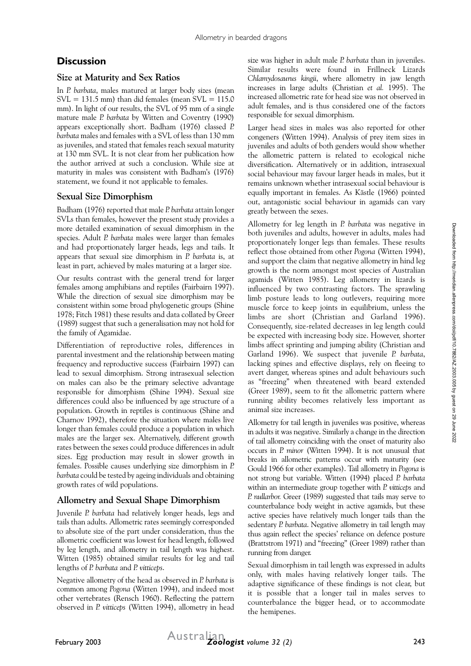# **Discussion**

#### **Size at Maturity and Sex Ratios**

In *P. barbata*, males matured at larger body sizes (mean  $SVL = 131.5$  mm) than did females (mean  $SVL = 115.0$ mm). In light of our results, the SVL of 95 mm of a single mature male *P. barbata* by Witten and Coventry (1990) appears exceptionally short. Badham (1976) classed *P. barbata* males and females with a SVL of less than 130 mm as juveniles, and stated that females reach sexual maturity at 130 mm SVL. It is not clear from her publication how the author arrived at such a conclusion. While size at maturity in males was consistent with Badham's (1976) statement, we found it not applicable to females.

#### **Sexual Size Dimorphism**

Badham (1976) reported that male *P. barbata* attain longer SVLs than females, however the present study provides a more detailed examination of sexual dimorphism in the species. Adult *P. barbata* males were larger than females and had proportionately larger heads, legs and tails. It appears that sexual size dimorphism in *P. barbata* is, at least in part, achieved by males maturing at a larger size.

Our results contrast with the general trend for larger females among amphibians and reptiles (Fairbairn 1997). While the direction of sexual size dimorphism may be consistent within some broad phylogenetic groups (Shine 1978; Fitch 1981) these results and data collated by Greer (1989) suggest that such a generalisation may not hold for the family of Agamidae.

Differentiation of reproductive roles, differences in parental investment and the relationship between mating frequency and reproductive success (Fairbairn 1997) can lead to sexual dimorphism. Strong intrasexual selection on males can also be the primary selective advantage responsible for dimorphism (Shine 1994). Sexual size differences could also be influenced by age structure of a population. Growth in reptiles is continuous (Shine and Charnov 1992), therefore the situation where males live longer than females could produce a population in which males are the larger sex. Alternatively, different growth rates between the sexes could produce differences in adult sizes. Egg production may result in slower growth in females. Possible causes underlying size dimorphism in *P. barbata* could be tested by ageing individuals and obtaining growth rates of wild populations.

#### **Allometry and Sexual Shape Dimorphism**

Juvenile *P. barbata* had relatively longer heads, legs and tails than adults. Allometric rates seemingly corresponded to absolute size of the part under consideration, thus the allometric coefficient was lowest for head length, followed by leg length, and allometry in tail length was highest. Witten (1985) obtained similar results for leg and tail lengths of *P. barbata* and *P. vitticeps*.

Negative allometry of the head as observed in *P. barbata* is common among *Pogona* (Witten 1994), and indeed most other vertebrates (Rensch 1960). Reflecting the pattern observed in *P. vitticeps* (Witten 1994), allometry in head

size was higher in adult male *P. barbata* than in juveniles. Similar results were found in Frillneck Lizards *Chlamydosaurus kingii*, where allometry in jaw length increases in large adults (Christian *et al.* 1995). The increased allometric rate for head size was not observed in adult females, and is thus considered one of the factors responsible for sexual dimorphism.

Larger head sizes in males was also reported for other congeners (Witten 1994). Analysis of prey item sizes in juveniles and adults of both genders would show whether the allometric pattern is related to ecological niche diversification. Alternatively or in addition, intrasexual social behaviour may favour larger heads in males, but it remains unknown whether intrasexual social behaviour is equally important in females. As Kästle (1966) pointed out, antagonistic social behaviour in agamids can vary greatly between the sexes.

Allometry for leg length in *P. barbata* was negative in both juveniles and adults, however in adults, males had proportionately longer legs than females. These results reflect those obtained from other *Pogona* (Witten 1994), and support the claim that negative allometry in hind leg growth is the norm amongst most species of Australian agamids (Witten 1985). Leg allometry in lizards is influenced by two contrasting factors. The sprawling limb posture leads to long outlevers, requiring more muscle force to keep joints in equilibrium, unless the limbs are short (Christian and Garland 1996). Consequently, size-related decreases in leg length could be expected with increasing body size. However, shorter limbs affect sprinting and jumping ability (Christian and Garland 1996). We suspect that juvenile *P. barbata*, lacking spines and effective displays, rely on fleeing to avert danger, whereas spines and adult behaviours such as "freezing" when threatened with beard extended (Greer 1989), seem to fit the allometric pattern where running ability becomes relatively less important as animal size increases.

Allometry for tail length in juveniles was positive, whereas in adults it was negative. Similarly a change in the direction of tail allometry coinciding with the onset of maturity also occurs in *P. minor* (Witten 1994). It is not unusual that breaks in allometric patterns occur with maturity (see Gould 1966 for other examples). Tail allometry in *Pogona* is not strong but variable. Witten (1994) placed *P. barbata* within an intermediate group together with *P. vitticeps* and *P. nullarbor.* Greer (1989) suggested that tails may serve to counterbalance body weight in active agamids, but these active species have relatively much longer tails than the sedentary *P. barbata*. Negative allometry in tail length may thus again reflect the species' reliance on defence posture (Brattstrom 1971) and "freezing" (Greer 1989) rather than running from danger.

Sexual dimorphism in tail length was expressed in adults only, with males having relatively longer tails. The adaptive significance of these findings is not clear, but it is possible that a longer tail in males serves to counterbalance the bigger head, or to accommodate the hemipenes.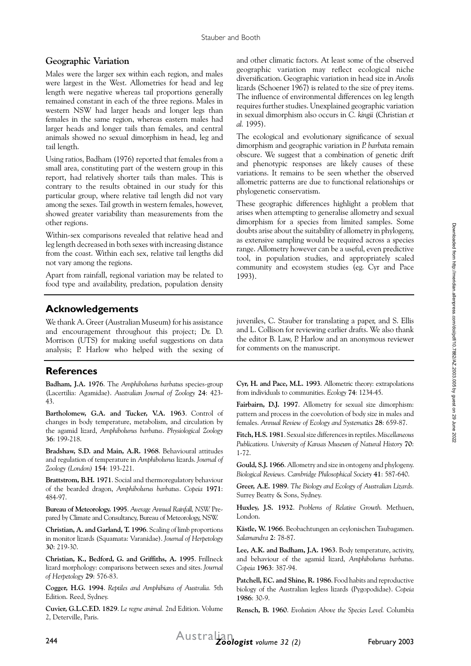#### **Geographic Variation**

Males were the larger sex within each region, and males were largest in the West. Allometries for head and leg length were negative whereas tail proportions generally remained constant in each of the three regions. Males in western NSW had larger heads and longer legs than females in the same region, whereas eastern males had larger heads and longer tails than females, and central animals showed no sexual dimorphism in head, leg and tail length.

Using ratios, Badham (1976) reported that females from a small area, constituting part of the western group in this report, had relatively shorter tails than males. This is contrary to the results obtained in our study for this particular group, where relative tail length did not vary among the sexes. Tail growth in western females, however, showed greater variability than measurements from the other regions.

Within-sex comparisons revealed that relative head and leg length decreased in both sexes with increasing distance from the coast. Within each sex, relative tail lengths did not vary among the regions.

Apart from rainfall, regional variation may be related to food type and availability, predation, population density and other climatic factors. At least some of the observed geographic variation may reflect ecological niche diversification. Geographic variation in head size in *Anolis*  lizards (Schoener 1967) is related to the size of prey items. The influence of environmental differences on leg length requires further studies. Unexplained geographic variation in sexual dimorphism also occurs in *C. kingii* (Christian *et al.* 1995).

The ecological and evolutionary significance of sexual dimorphism and geographic variation in *P. barbata* remain obscure. We suggest that a combination of genetic drift and phenotypic responses are likely causes of these variations. It remains to be seen whether the observed allometric patterns are due to functional relationships or phylogenetic conservatism.

These geographic differences highlight a problem that arises when attempting to generalise allometry and sexual dimorphism for a species from limited samples. Some doubts arise about the suitability of allometry in phylogeny, as extensive sampling would be required across a species range. Allometry however can be a useful, even predictive tool, in population studies, and appropriately scaled community and ecosystem studies (eg. Cyr and Pace 1993).

## **Acknowledgements**

We thank A. Greer (Australian Museum) for his assistance and encouragement throughout this project; Dr. D. Morrison (UTS) for making useful suggestions on data analysis; P. Harlow who helped with the sexing of

## **References**

**Badham, J.A. 1976**. The *Amphibolurus barbatus* species-group (Lacertilia: Agamidae). *Australian Journal of Zoology* **24**: 423- 43.

**Bartholomew, G.A. and Tucker, V.A. 1963**. Control of changes in body temperature, metabolism, and circulation by the agamid lizard, *Amphibolurus barbatus*. *Physiological Zoology*  **36**: 199-218.

**Bradshaw, S.D. and Main, A.R. 1968**. Behavioural attitudes and regulation of temperature in *Amphibolurus* lizards. *Journal of Zoology (London)* **154**: 193-221.

**Brattstrom, B.H. 1971**. Social and thermoregulatory behaviour of the bearded dragon, *Amphibolurus barbatus*. *Copeia* **1971**: 484-97.

**Bureau of Meteorology. 1995**. *Average Annual Rainfall, NSW.* Prepared by Climate and Consultancy, Bureau of Meteorology, NSW.

**Christian, A. and Garland, T. 1996**. Scaling of limb proportions in monitor lizards (Squamata: Varanidae). *Journal of Herpetology*  **30**: 219-30.

**Christian, K., Bedford, G. and Griffiths, A. 1995**. Frillneck lizard morphology: comparisons between sexes and sites. *Journal of Herpetology* **29**: 576-83.

**Cogger, H.G. 1994**. *Reptiles and Amphibians of Australia.* 5th Edition. Reed, Sydney.

**Cuvier, G.L.C.F.D. 1829**. *Le regne animal.* 2nd Edition. Volume 2, Deterville, Paris.

juveniles, C. Stauber for translating a paper, and S. Ellis and L. Collison for reviewing earlier drafts. We also thank the editor B. Law, P. Harlow and an anonymous reviewer for comments on the manuscript.

**Cyr, H. and Pace, M.L. 1993**. Allometric theory: extrapolations from individuals to communities. *Ecology* **74**: 1234-45.

**Fairbairn, D.J. 1997**. Allometry for sexual size dimorphism: pattern and process in the coevolution of body size in males and females. *Annual Review of Ecology and Systematics* **28**: 659-87.

**Fitch, H.S. 1981**. Sexual size differences in reptiles. *Miscellaneous Publications. University of Kansas Museum of Natural History* **70**: 1-72.

**Gould, S.J. 1966**. Allometry and size in ontogeny and phylogeny. *Biological Reviews. Cambridge Philosophical Society* **41**: 587-640.

**Greer, A.E. 1989**. *The Biology and Ecology of Australian Lizards.* Surrey Beatty & Sons, Sydney.

**Huxley, J.S. 1932**. *Problems of Relative Growth.* Methuen, London.

**Kästle, W. 1966**. Beobachtungen an ceylonischen Taubagamen. *Salamandra* **2**: 78-87.

**Lee, A.K. and Badham, J.A. 1963**. Body temperature, activity, and behaviour of the agamid lizard, *Amphibolurus barbatus*. *Copeia* **1963**: 387-94.

**Patchell, F.C. and Shine, R. 1986**. Food habits and reproductive biology of the Australian legless lizards (Pygopodidae). *Copeia*  **1986**: 30-9.

**Rensch, B. 1960**. *Evolution Above the Species Level.* Columbia

Downloaded from http://meridian.allenpress.com/doi/pdf/10.7882/AZ.2003.005 by guest on 29 June 2022 Downloaded from http://meridian.allenpress.com/doi/pdf/10.7882/AZ.2003.005 by guest on 29 June 2022